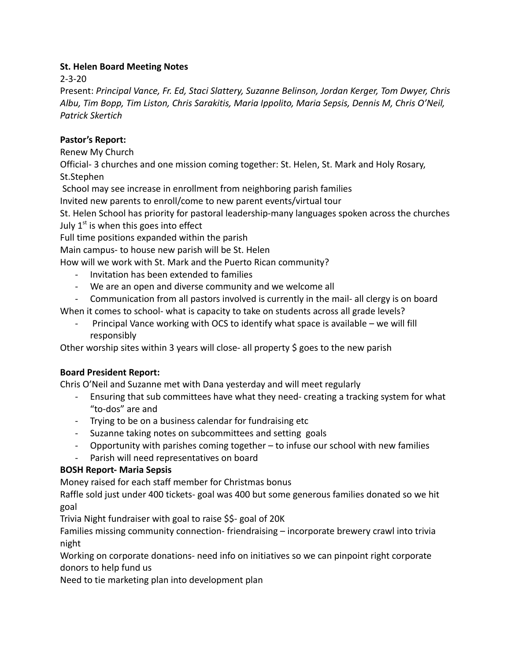## **St. Helen Board Meeting Notes**

2-3-20

Present: *Principal Vance, Fr. Ed, Staci Slattery, Suzanne Belinson, Jordan Kerger, Tom Dwyer, Chris Albu, Tim Bopp, Tim Liston, Chris Sarakitis, Maria Ippolito, Maria Sepsis, Dennis M, Chris O'Neil, Patrick Skertich*

# **Pastor's Report:**

Renew My Church

Official- 3 churches and one mission coming together: St. Helen, St. Mark and Holy Rosary, St.Stephen

School may see increase in enrollment from neighboring parish families

Invited new parents to enroll/come to new parent events/virtual tour

St. Helen School has priority for pastoral leadership-many languages spoken across the churches July  $1^\text{st}$  is when this goes into effect

Full time positions expanded within the parish

Main campus- to house new parish will be St. Helen

How will we work with St. Mark and the Puerto Rican community?

- Invitation has been extended to families
- We are an open and diverse community and we welcome all
- Communication from all pastors involved is currently in the mail- all clergy is on board

When it comes to school- what is capacity to take on students across all grade levels?

- Principal Vance working with OCS to identify what space is available – we will fill responsibly

Other worship sites within 3 years will close- all property \$ goes to the new parish

## **Board President Report:**

Chris O'Neil and Suzanne met with Dana yesterday and will meet regularly

- Ensuring that sub committees have what they need- creating a tracking system for what "to-dos" are and
- Trying to be on a business calendar for fundraising etc
- Suzanne taking notes on subcommittees and setting goals
- Opportunity with parishes coming together to infuse our school with new families
- Parish will need representatives on board

# **BOSH Report- Maria Sepsis**

Money raised for each staff member for Christmas bonus

Raffle sold just under 400 tickets- goal was 400 but some generous families donated so we hit goal

Trivia Night fundraiser with goal to raise \$\$- goal of 20K

Families missing community connection- friendraising – incorporate brewery crawl into trivia night

Working on corporate donations- need info on initiatives so we can pinpoint right corporate donors to help fund us

Need to tie marketing plan into development plan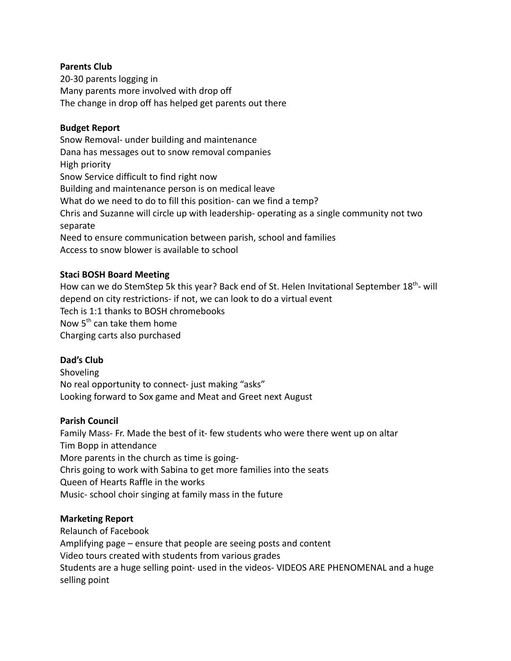### **Parents Club**

20-30 parents logging in Many parents more involved with drop off The change in drop off has helped get parents out there

#### **Budget Report**

Snow Removal- under building and maintenance Dana has messages out to snow removal companies High priority Snow Service difficult to find right now Building and maintenance person is on medical leave What do we need to do to fill this position- can we find a temp? Chris and Suzanne will circle up with leadership- operating as a single community not two separate Need to ensure communication between parish, school and families Access to snow blower is available to school

#### **Staci BOSH Board Meeting**

How can we do StemStep 5k this year? Back end of St. Helen Invitational September 18<sup>th</sup>- will depend on city restrictions- if not, we can look to do a virtual event Tech is 1:1 thanks to BOSH chromebooks Now 5<sup>th</sup> can take them home Charging carts also purchased

#### **Dad's Club**

**Shoveling** No real opportunity to connect- just making "asks" Looking forward to Sox game and Meat and Greet next August

#### **Parish Council**

Family Mass- Fr. Made the best of it- few students who were there went up on altar Tim Bopp in attendance More parents in the church as time is going-Chris going to work with Sabina to get more families into the seats Queen of Hearts Raffle in the works Music- school choir singing at family mass in the future

#### **Marketing Report**

Relaunch of Facebook Amplifying page – ensure that people are seeing posts and content Video tours created with students from various grades Students are a huge selling point- used in the videos- VIDEOS ARE PHENOMENAL and a huge selling point